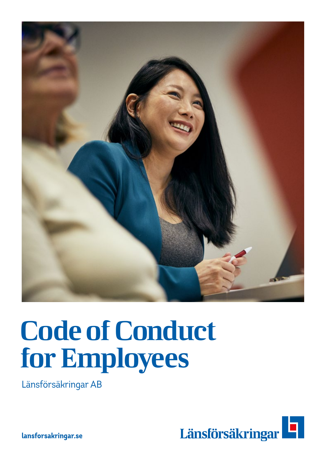

# Code of Conduct for Employees

Länsförsäkringar AB



**lansforsakringar.se**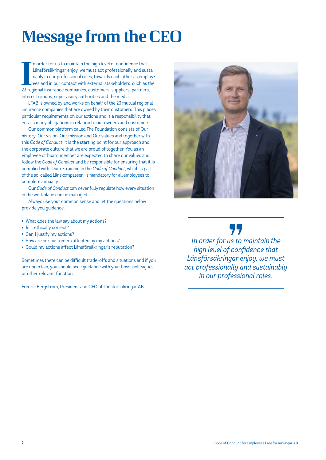# Message from the CEO

In order for us to maintain the high level of confidence that<br>Länsförsäkringar enjoy, we must act professionally and sust<br>nably in our professional roles, towards each other as emplo<br>ees and in our contact with external st n order for us to maintain the high level of confidence that Länsförsäkringar enjoy, we must act professionally and sustainably in our professional roles, towards each other as employees and in our contact with external stakeholders, such as the interest groups, supervisory authorities and the media.

LFAB is owned by and works on behalf of the 23 mutual regional insurance companies that are owned by their customers. This places particular requirements on our actions and is a responsibility that entails many obligations in relation to our owners and customers.

Our common platform called The Foundation consists of Our history, Our vision, Our mission and Our values and together with this *Code of Conduct*, it is the starting point for our approach and the corporate culture that we are proud of together. You as an employee or board member are expected to share our values and follow the *Code of Conduct* and be responsible for ensuring that it is complied with. Our e-training in the *Code of Conduct*, which is part of the so-called Länskompassen, is mandatory for all employees to complete annually.

Our *Code of Conduct* can never fully regulate how every situation in the workplace can be managed.

Always use your common sense and let the questions below provide you guidance.

- What does the law say about my actions?
- Is it ethically correct?
- Can I justify my actions?
- How are our customers affected by my actions?
- Could my actions affect Länsförsäkringar's reputation?

Sometimes there can be difficult trade-offs and situations and if you are uncertain, you should seek guidance with your boss, colleagues or other relevant function.

Fredrik Bergström, President and CEO of Länsförsäkringar AB



*In order for us to maintain the high level of confidence that Länsförsäkringar enjoy, we must act professionally and sustainably in our professional roles.*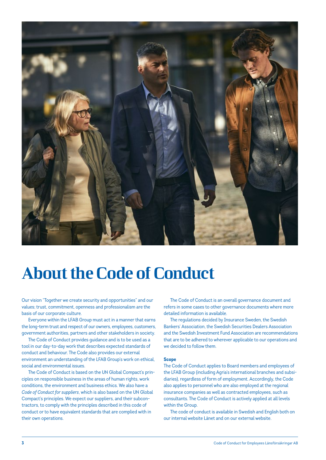

## About the Code of Conduct

Our vision "Together we create security and opportunities" and our values; trust, commitment, openness and professionalism are the basis of our corporate culture.

Everyone within the LFAB Group must act in a manner that earns the long-term trust and respect of our owners, employees, customers, government authorities, partners and other stakeholders in society.

The Code of Conduct provides guidance and is to be used as a tool in our day-to-day work that describes expected standards of conduct and behaviour. The Code also provides our external environment an understanding of the LFAB Group's work on ethical, social and environmental issues.

The Code of Conduct is based on the UN Global Compact's principles on responsible business in the areas of human rights, work conditions, the environment and business ethics. We also have a *Code of Conduct for suppliers*, which is also based on the UN Global Compact's principles. We expect our suppliers, and their subcontractors, to comply with the principles described in this code of conduct or to have equivalent standards that are complied with in their own operations.

The Code of Conduct is an overall governance document and refers in some cases to other governance documents where more detailed information is available.

The regulations decided by Insurance Sweden, the Swedish Bankers' Association, the Swedish Securities Dealers Association and the Swedish Investment Fund Association are recommendations that are to be adhered to wherever applicable to our operations and we decided to follow them.

#### **Scope**

The Code of Conduct applies to Board members and employees of the LFAB Group (including Agria's international branches and subsidiaries), regardless of form of employment. Accordingly, the Code also applies to personnel who are also employed at the regional insurance companies as well as contracted employees, such as consultants. The Code of Conduct is actively applied at all levels within the Group.

The code of conduct is available in Swedish and English both on our internal website Länet and on our external website.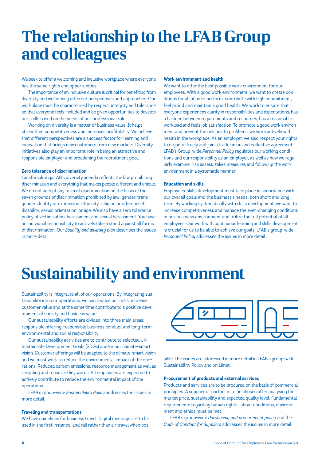### The relationship to the LFAB Group and colleagues

We seek to offer a welcoming and inclusive workplace where everyone has the same rights and opportunities.

The importance of an inclusive culture is critical for benefiting from diversity and welcoming different perspectives and approaches. Our workplace must be characterised by respect, integrity and tolerance so that everyone feels included and be given opportunities to develop our skills based on the needs of our professional role.

Working on diversity is a matter of business value. It helps strengthen competitiveness and increases profitability. We believe that different perspectives are a success factor for learning and innovation that brings new customers from new markets. Diversity initiatives also play an important role in being an attractive and responsible employer and broadening the recruitment pool.

#### **Zero tolerance of discrimination**

Länsförsäkringar AB's diversity agenda reflects the law prohibiting discrimination and everything that makes people different and unique. We do not accept any form of discrimination on the basis of the seven grounds of discrimination prohibited by law; gender, transgender identity or expression, ethnicity, religion or other belief, disability, sexual orientation, or age. We also have a zero tolerance policy of victimisation, harassment and sexual harassment. You have an individual responsibility to actively take a stand against all forms of discrimination. Our *Equality and diversity plan* describes the issues in more detail.

#### **Work environment and health**

We want to offer the best possible work environment for our employees. With a good work environment, we want to create conditions for all of us to perform, contribute with high commitment, feel proud and maintain a good health. We work to ensure that everyone experiences clarity in responsibilities and expectations, has a balance between requirements and resources, has a reasonable workload and feels job satisfaction. To promote a good work environment and prevent the risk health problems, we work actively with health in the workplace. As an employer, we also respect your rights to organize freely and join a trade union and collective agreement. LFAB's Group-wide *Personnel Policy* regulates our working conditions and our responsibility as an employer, as well as how we regularly examine, risk assess, takes measures and follow up the work environment in a systematic manner.

#### **Education and skills**

Employees' skills development must take place in accordance with our overall goals and the business's needs, both short and long term. By working systematically with skills development, we want to increase competitiveness and manage the ever-changing conditions in our business environment and utilize the full potential of all employees. Our work with continuous learning and skills development is crucial for us to be able to achieve our goals. LFAB's group-wide *Personnel Policy* addresses the issues in more detail.

# Sustainability and environment

Sustainability is integral to all of our operations. By integrating sustainability into our operations, we can reduce our risks, increase customer value and at the same time contribute to a positive development of society and business value.

Our sustainability efforts are divided into three main areas: responsible offering, responsible business conduct and long-term environmental and social responsibility.

Our sustainability activities are to contribute to selected UN Sustainable Development Goals (SDGs) and/or our climate-smart vision. Customer offerings will be adapted to the climate-smart vision and we must work to reduce the environmental impact of the operations. Reduced carbon emissions, resource management as well as recycling and reuse are key words. All employees are expected to actively contribute to reduce the environmental impact of the operations.

LFAB's group-wide *Sustainability Policy* addresses the issues in more detail.

#### **Traveling and transportations**

We have guidelines for business travel. Digital meetings are to be used in the first instance, and rail rather than air travel when pos-



sible. The issues are addressed in more detail in LFAB's group-wide Sustainability Policy and on Länet.

#### **Procurement of products and external services**

Products and services are to be procured on the basis of commercial principles. A supplier or partner is to be chosen after analysing the market price, sustainability and expected quality level. Fundamental requirements regarding human rights, labour conditions, environment and ethics must be met.

LFAB's group-wide *Purchasing and procurement policy* and the *Code of Conduct for Suppliers* addresses the issues in more detail.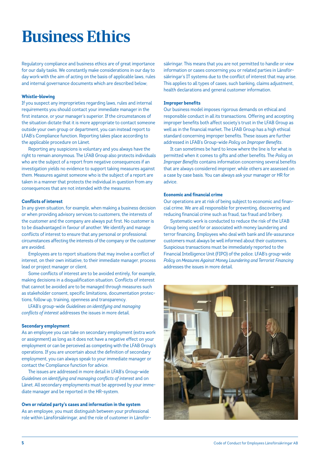# Business Ethics

Regulatory compliance and business ethics are of great importance for our daily tasks. We constantly make considerations in our day to day work with the aim of acting on the basis of applicable laws, rules and internal governance documents which are described below;

#### **Whistle-blowing**

If you suspect any improprieties regarding laws, rules and internal requirements you should contact your immediate manager in the first instance, or your manager's superior. If the circumstances of the situation dictate that it is more appropriate to contact someone outside your own group or department, you can instead report to LFAB's Compliance function. Reporting takes place according to the applicable procedure on Länet.

Reporting any suspicions is voluntary and you always have the right to remain anonymous. The LFAB Group also protects individuals who are the subject of a report from negative consequences if an investigation yields no evidence to support taking measures against them. Measures against someone who is the subject of a report are taken in a manner that protects the individual in question from any consequences that are not intended with the measures.

#### **Conflicts of interest**

In any given situation, for example, when making a business decision or when providing advisory services to customers, the interests of the customer and the company are always put first. No customer is to be disadvantaged in favour of another. We identify and manage conflicts of interest to ensure that any personal or professional circumstances affecting the interests of the company or the customer are avoided.

Employees are to report situations that may involve a conflict of interest, on their own initiative, to their immediate manager, process lead or project manager or client.

Some conflicts of interest are to be avoided entirely, for example, making decisions in a disqualification situation. Conflicts of interest that cannot be avoided are to be managed through measures such as stakeholder consent, specific limitations, documentation protections, follow up, training, openness and transparency.

LFAB's group-wide *Guidelines on identifying and managing conflicts of interest* addresses the issues in more detail.

#### **Secondary employment**

As an employee you can take on secondary employment (extra work or assignment) as long as it does not have a negative effect on your employment or can be perceived as competing with the LFAB Group's operations. If you are uncertain about the definition of secondary employment, you can always speak to your immediate manager or contact the Compliance function for advice.

The issues are addressed in more detail in LFAB's Group-wide *Guidelines on identifying and managing conflicts of interest* and on Länet. All secondary employments must be approved by your immediate manager and be reported in the HR-system.

#### **Own or related party's cases and information in the system**

As an employee, you must distinguish between your professional role within Länsförsäkringar, and the role of customer in Länsförsäkringar. This means that you are not permitted to handle or view information or cases concerning you or related parties in Länsförsäkringar's IT systems due to the conflict of interest that may arise. This applies to all types of cases, such banking, claims adjustment, health declarations and general customer information.

#### **Improper benefits**

Our business model imposes rigorous demands on ethical and responsible conduct in all its transactions. Offering and accepting improper benefits both affect society's trust in the LFAB Group as well as in the financial market. The LFAB Group has a high ethical standard concerning improper benefits. These issues are further addressed in LFAB's Group-wide *Policy on Improper Benefits*.

It can sometimes be hard to know where the line is for what is permitted when it comes to gifts and other benefits. The *Policy on Improper Benefits* contains information concerning several benefits that are always considered improper, while others are assessed on a case by case basis. You can always ask your manager or HR for advice.

#### **Economic and financial crime**

Our operations are at risk of being subject to economic and financial crime. We are all responsible for preventing, discovering and reducing financial crime such as fraud, tax fraud and bribery.

Systematic work is conducted to reduce the risk of the LFAB Group being used for or associated with money laundering and terror financing. Employees who deal with bank and life-assurance customers must always be well informed about their customers. Suspicious transactions must be immediately reported to the Financial Intelligence Unit (FIPO) of the police. LFAB's group-wide *Policy on Measures Against Money Laundering and Terrorist Financing* addresses the issues in more detail.

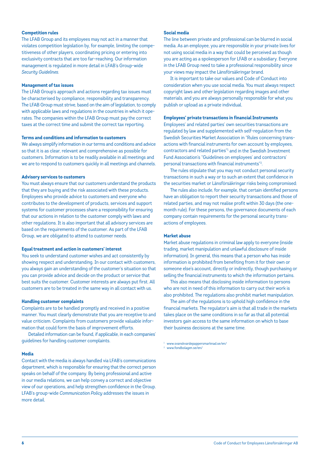#### **Competition rules**

The LFAB Group and its employees may not act in a manner that violates competition legislation by, for example, limiting the competitiveness of other players, coordinating pricing or entering into exclusivity contracts that are too far-reaching. Our information management is regulated in more detail in LFAB's Group-wide *Security Guidelines.*

#### **Management of tax issues**

The LFAB Group's approach and actions regarding tax issues must be characterised by compliance, responsibility and transparency. The LFAB Group must strive, based on the aim of legislation, to comply with applicable laws and regulations in the countries in which it operates. The companies within the LFAB Group must pay the correct taxes at the correct time and submit the correct tax reporting.

#### **Terms and conditions and information to customers**

We always simplify information in our terms and conditions and advice so that it is as clear, relevant and comprehensive as possible for customers. Information is to be readily available in all meetings and we are to respond to customers quickly in all meetings and channels.

#### **Advisory services to customers**

You must always ensure that our customers understand the products that they are buying and the risk associated with these products. Employees who provide advice to customers and everyone who contributes to the development of products, services and support systems for customer processes share a responsibility for ensuring that our actions in relation to the customer comply with laws and other regulations. It is also important that all advisory services are based on the requirements of the customer. As part of the LFAB Group, we are obligated to attend to customer needs.

#### **Equal treatment and action in customers' interest**

You seek to understand customer wishes and act consistently by showing respect and understanding. In our contact with customers, you always gain an understanding of the customer's situation so that you can provide advice and decide on the product or service that best suits the customer. Customer interests are always put first. All customers are to be treated in the same way in all contact with us.

#### **Handling customer complaints**

Complaints are to be handled promptly and received in a positive manner. You must clearly demonstrate that you are receptive to and value criticism. Complaints from customers provide valuable information that could form the basis of improvement efforts.

Detailed information can be found, if applicable, in each companies' guidelines for handling customer complaints.

#### **Media**

Contact with the media is always handled via LFAB's communications department, which is responsible for ensuring that the correct person speaks on behalf of the company. By being professional and active in our media relations, we can help convey a correct and objective view of our operations, and help strengthen confidence in the Group. LFAB's group-wide *Communication Policy* addresses the issues in more detail.

#### **Social media**

The line between private and professional can be blurred in social media. As an employee, you are responsible in your private lives for not using social media in a way that could be perceived as though you are acting as a spokesperson for LFAB or a subsidiary. Everyone in the LFAB Group need to take a professional responsibility since your views may impact the Länsförsäkringar brand.

It is important to take our values and Code of Conduct into consideration when you use social media. You must always respect copyright laws and other legislation regarding images and other materials, and you are always personally responsible for what you publish or upload as a private individual.

#### **Employees' private transactions in financial Instruments**

Employees' and related parties' own securities transactions are regulated by law and supplemented with self-regulation from the Swedish Securities Market Association in "Rules concerning transactions with financial instruments for own account by employees, contractors and related parties"1 and in the Swedish Investment Fund Association's "Guidelines on employees' and contractors' personal transactions with financial instruments"2 .

The rules stipulate that you may not conduct personal security transactions in such a way or to such an extent that confidence in the securities market or Länsförsäkringar risks being compromised:

The rules also include, for example, that certain identified persons have an obligation to report their security transactions and those of related parties, and may not realise profit within 30 days (the onemonth rule). For these persons, the governance documents of each company contain requirements for the personal security transactions of employees.

#### **Market abuse**

Market abuse regulations in criminal law apply to everyone (inside trading, market manipulation and unlawful disclosure of inside information). In general, this means that a person who has inside information is prohibited from benefiting from it for their own or someone else's account, directly or indirectly, though purchasing or selling the financial instruments to which the information pertains.

This also means that disclosing inside information to persons who are not in need of this information to carry out their work is also prohibited. The regulations also prohibit market manipulation.

The aim of the regulations is to uphold high confidence in the financial markets. The regulator's aim is that all trade in the markets takes place on the same conditions in so far as that all potential investors gain access to the same information on which to base their business decisions at the same time.

<sup>1</sup> www.svanskvardepappersmarknad.se/en/

<sup>2</sup> www.fondbolagen.se/en/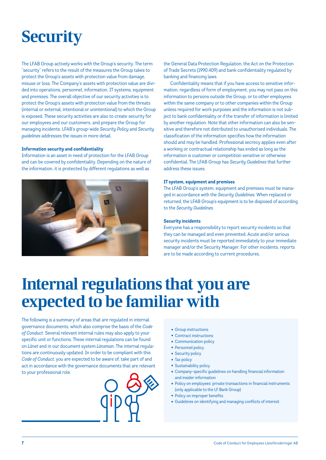# **Security**

The LFAB Group actively works with the Group's security. The term "security" refers to the result of the measures the Group takes to protect the Group's assets with protection value from damage, misuse or loss. The Company's assets with protection value are divided into operations, personnel, information, IT systems, equipment and premises. The overall objective of our security activities is to protect the Group's assets with protection value from the threats (internal or external, intentional or unintentional) to which the Group is exposed. These security activities are also to create security for our employees and our customers, and prepare the Group for managing incidents. LFAB's group-wide *Security Policy* and *Security guidelines* addresses the issues in more detail.

#### **Information security and confidentiality**

Information is an asset in need of protection for the LFAB Group and can be covered by confidentiality. Depending on the nature of the information, it is protected by different regulations as well as



the General Data Protection Regulation, the Act on the Protection of Trade Secrets (1990:409) and bank confidentiality regulated by banking and financing laws.

Confidentiality means that if you have access to sensitive information, regardless of form of employment, you may not pass on this information to persons outside the Group, or to other employees within the same company or to other companies within the Group unless required for work purposes and the information is not subject to bank confidentiality or if the transfer of information is limited by another regulation. Note that other information can also be sensitive and therefore not distributed to unauthorised individuals. The classification of the information specifies how the information should and may be handled. Professional secrecy applies even after a working or contractual relationship has ended as long as the information is customer or competition sensitive or otherwise confidential. The LFAB Group has *Security Guidelines* that further address these issues.

#### **IT system, equipment and premises**

The LFAB Group's system, equipment and premises must be managed in accordance with the *Security Guidelines.* When replaced or returned, the LFAB Group's equipment is to be disposed of according to the *Security Guidelines.*

#### **Security incidents**

Everyone has a responsibility to report security incidents so that they can be managed and even prevented. Acute and/or serious security incidents must be reported immediately to your immediate manager and/or the Security Manager. For other incidents, reports are to be made according to current procedures.

### Internal regulations that you are expected to be familiar with

The following is a summary of areas that are regulated in internal governance documents, which also comprise the basis of the *Code of Conduct*. Several relevant internal rules may also apply to your specific unit or functions. These internal regulations can be found on *Länet* and in our document system *Länsman*. The internal regulations are continuously updated. In order to be compliant with this *Code of Conduct*, you are expected to be aware of, take part of and act in accordance with the governance documents that are relevant to your professional role.



- Group instructions
- Contract instructions
- Communication policy
- Personnel policy
- Security policy
- Tax policy
- Sustainability policy
- Company-specific guidelines on handling financial information and insider information
- Policy on employees' private transactions in financial instruments (only applicable to the LF Bank Group)
- Policy on improper benefits
- Guidelines on identifying and managing conflicts of interest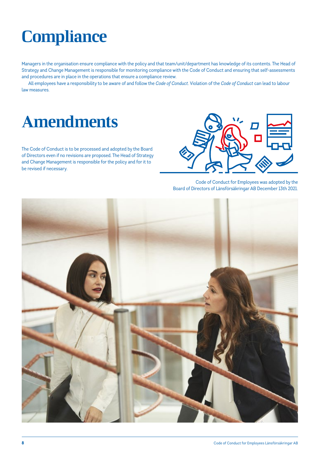# **Compliance**

Managers in the organisation ensure compliance with the policy and that team/unit/department has knowledge of its contents. The Head of Strategy and Change Management is responsible for monitoring compliance with the Code of Conduct and ensuring that self-assessments and procedures are in place in the operations that ensure a compliance review.

All employees have a responsibility to be aware of and follow the *Code of Conduct*. Violation of the *Code of Conduct* can lead to labour law measures.

### Amendments

The Code of Conduct is to be processed and adopted by the Board of Directors even if no revisions are proposed. The Head of Strategy and Change Management is responsible for the policy and for it to be revised if necessary.



Code of Conduct for Employees was adopted by the Board of Directors of Länsförsäkringar AB December 13th 2021.